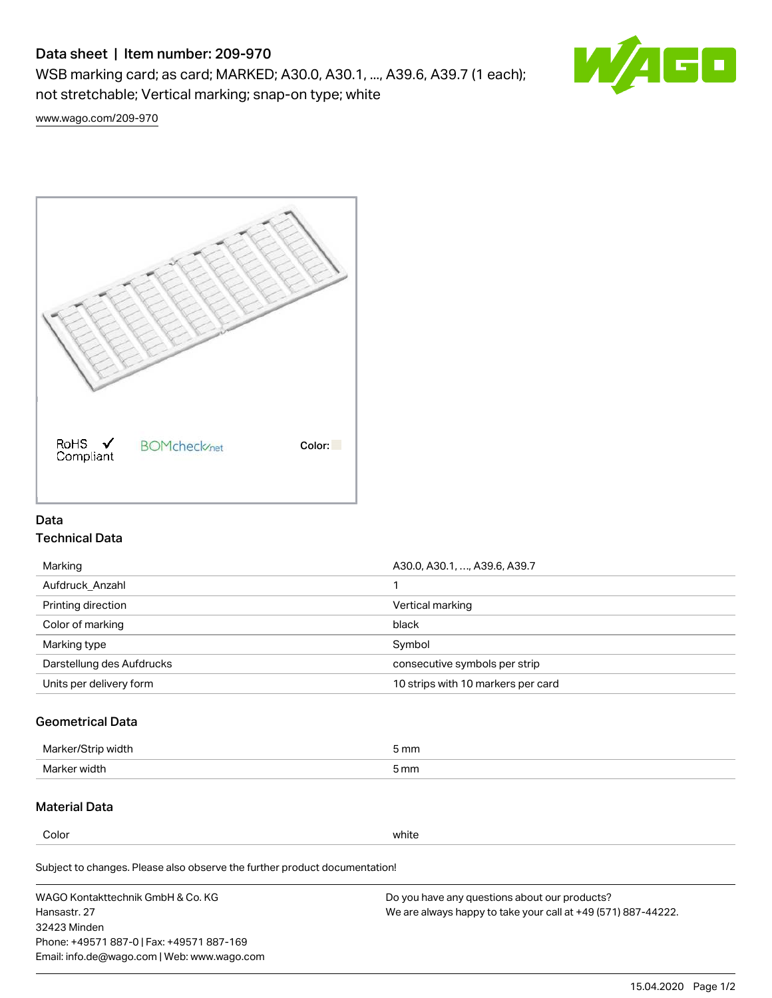# Data sheet | Item number: 209-970

WSB marking card; as card; MARKED; A30.0, A30.1, ..., A39.6, A39.7 (1 each); not stretchable; Vertical marking; snap-on type; white



[www.wago.com/209-970](http://www.wago.com/209-970)



## Data Technical Data

| Marking                   | A30.0, A30.1, , A39.6, A39.7       |
|---------------------------|------------------------------------|
| Aufdruck Anzahl           |                                    |
| Printing direction        | Vertical marking                   |
| Color of marking          | black                              |
| Marking type              | Symbol                             |
| Darstellung des Aufdrucks | consecutive symbols per strip      |
| Units per delivery form   | 10 strips with 10 markers per card |

## Geometrical Data

| طلقاء ئ<br><b>Marker</b><br>widtr | ັກmm |
|-----------------------------------|------|
| Marker width                      | 5 mm |

# Material Data

Color white

Subject to changes. Please also observe the further product documentation!

WAGO Kontakttechnik GmbH & Co. KG Hansastr. 27 32423 Minden Phone: +49571 887-0 | Fax: +49571 887-169 Email: info.de@wago.com | Web: www.wago.com Do you have any questions about our products? We are always happy to take your call at +49 (571) 887-44222.